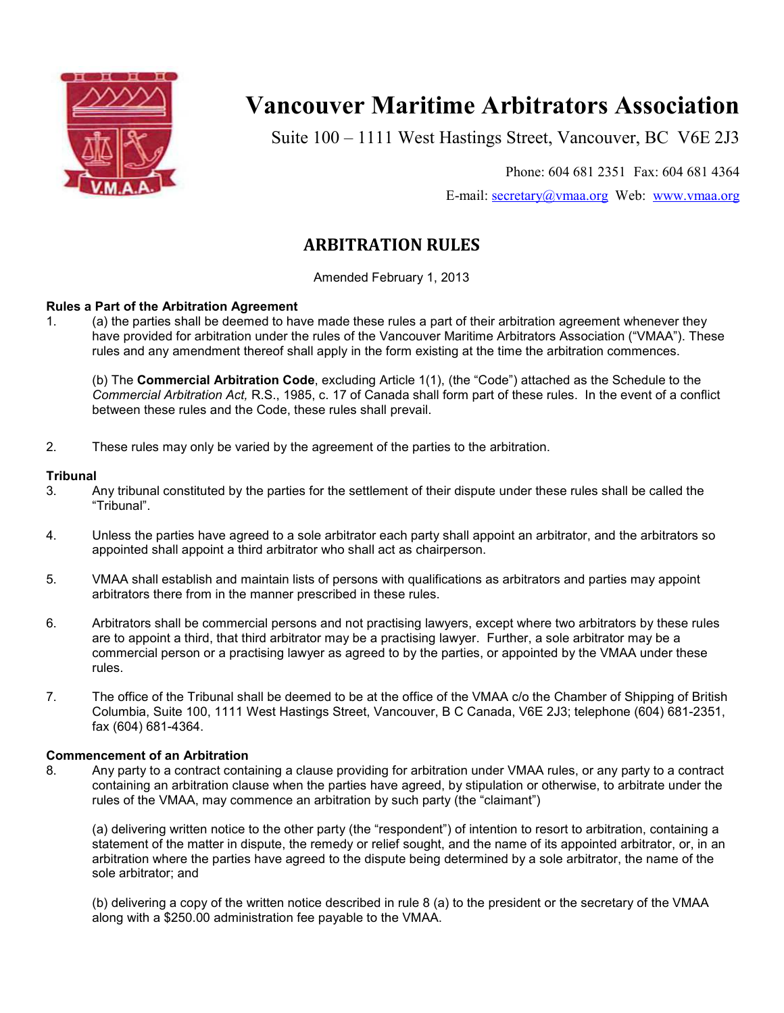

# **Vancouver Maritime Arbitrators Association**

Suite 100 – 1111 West Hastings Street, Vancouver, BC V6E 2J3

Phone: 604 681 2351 Fax: 604 681 4364

E-mail: secretary@vmaa.org Web: www.vmaa.org

# **ARBITRATION RULES**

Amended February 1, 2013

# **Rules a Part of the Arbitration Agreement**

1. (a) the parties shall be deemed to have made these rules a part of their arbitration agreement whenever they have provided for arbitration under the rules of the Vancouver Maritime Arbitrators Association ("VMAA"). These rules and any amendment thereof shall apply in the form existing at the time the arbitration commences.

 (b) The **Commercial Arbitration Code**, excluding Article 1(1), (the "Code") attached as the Schedule to the *Commercial Arbitration Act,* R.S., 1985, c. 17 of Canada shall form part of these rules. In the event of a conflict between these rules and the Code, these rules shall prevail.

2. These rules may only be varied by the agreement of the parties to the arbitration.

# **Tribunal**

- 3. Any tribunal constituted by the parties for the settlement of their dispute under these rules shall be called the "Tribunal".
- 4. Unless the parties have agreed to a sole arbitrator each party shall appoint an arbitrator, and the arbitrators so appointed shall appoint a third arbitrator who shall act as chairperson.
- 5. VMAA shall establish and maintain lists of persons with qualifications as arbitrators and parties may appoint arbitrators there from in the manner prescribed in these rules.
- 6. Arbitrators shall be commercial persons and not practising lawyers, except where two arbitrators by these rules are to appoint a third, that third arbitrator may be a practising lawyer. Further, a sole arbitrator may be a commercial person or a practising lawyer as agreed to by the parties, or appointed by the VMAA under these rules.
- 7. The office of the Tribunal shall be deemed to be at the office of the VMAA c/o the Chamber of Shipping of British Columbia, Suite 100, 1111 West Hastings Street, Vancouver, B C Canada, V6E 2J3; telephone (604) 681-2351, fax (604) 681-4364.

# **Commencement of an Arbitration**

8. Any party to a contract containing a clause providing for arbitration under VMAA rules, or any party to a contract containing an arbitration clause when the parties have agreed, by stipulation or otherwise, to arbitrate under the rules of the VMAA, may commence an arbitration by such party (the "claimant")

(a) delivering written notice to the other party (the "respondent") of intention to resort to arbitration, containing a statement of the matter in dispute, the remedy or relief sought, and the name of its appointed arbitrator, or, in an arbitration where the parties have agreed to the dispute being determined by a sole arbitrator, the name of the sole arbitrator; and

(b) delivering a copy of the written notice described in rule 8 (a) to the president or the secretary of the VMAA along with a \$250.00 administration fee payable to the VMAA.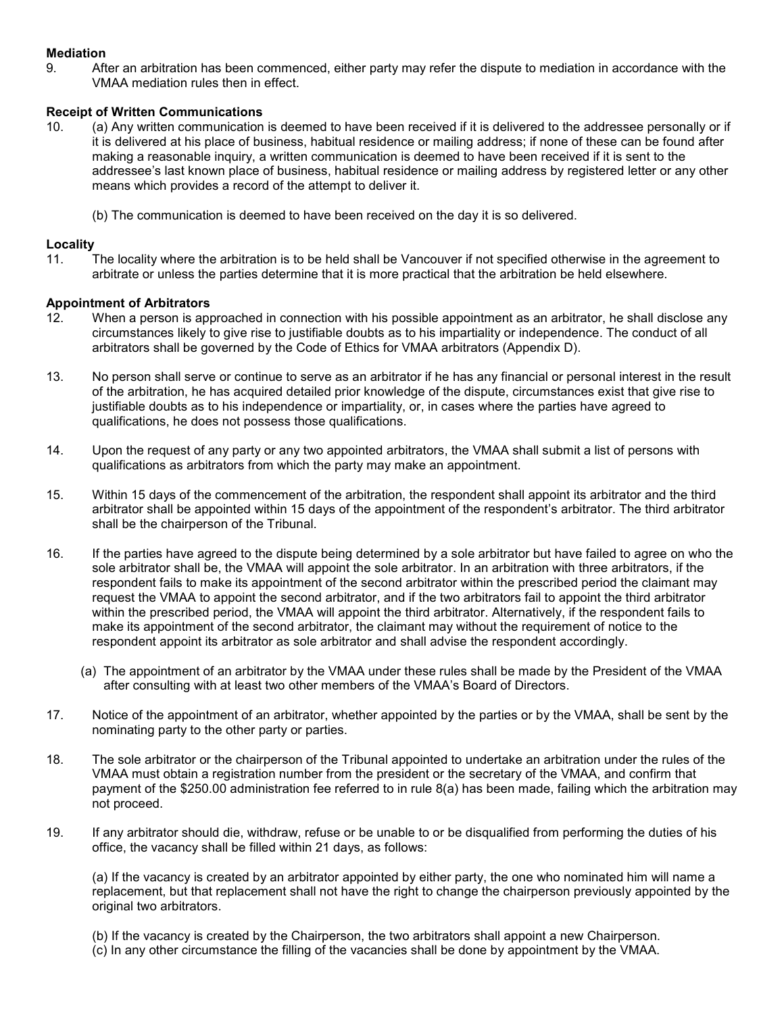# **Mediation**

9. After an arbitration has been commenced, either party may refer the dispute to mediation in accordance with the VMAA mediation rules then in effect.

# **Receipt of Written Communications**

- 10. (a) Any written communication is deemed to have been received if it is delivered to the addressee personally or if it is delivered at his place of business, habitual residence or mailing address; if none of these can be found after making a reasonable inquiry, a written communication is deemed to have been received if it is sent to the addressee's last known place of business, habitual residence or mailing address by registered letter or any other means which provides a record of the attempt to deliver it.
	- (b) The communication is deemed to have been received on the day it is so delivered.

# **Locality**

11. The locality where the arbitration is to be held shall be Vancouver if not specified otherwise in the agreement to arbitrate or unless the parties determine that it is more practical that the arbitration be held elsewhere.

# **Appointment of Arbitrators**

- 12. When a person is approached in connection with his possible appointment as an arbitrator, he shall disclose any circumstances likely to give rise to justifiable doubts as to his impartiality or independence. The conduct of all arbitrators shall be governed by the Code of Ethics for VMAA arbitrators (Appendix D).
- 13. No person shall serve or continue to serve as an arbitrator if he has any financial or personal interest in the result of the arbitration, he has acquired detailed prior knowledge of the dispute, circumstances exist that give rise to justifiable doubts as to his independence or impartiality, or, in cases where the parties have agreed to qualifications, he does not possess those qualifications.
- 14. Upon the request of any party or any two appointed arbitrators, the VMAA shall submit a list of persons with qualifications as arbitrators from which the party may make an appointment.
- 15. Within 15 days of the commencement of the arbitration, the respondent shall appoint its arbitrator and the third arbitrator shall be appointed within 15 days of the appointment of the respondent's arbitrator. The third arbitrator shall be the chairperson of the Tribunal.
- 16. If the parties have agreed to the dispute being determined by a sole arbitrator but have failed to agree on who the sole arbitrator shall be, the VMAA will appoint the sole arbitrator. In an arbitration with three arbitrators, if the respondent fails to make its appointment of the second arbitrator within the prescribed period the claimant may request the VMAA to appoint the second arbitrator, and if the two arbitrators fail to appoint the third arbitrator within the prescribed period, the VMAA will appoint the third arbitrator. Alternatively, if the respondent fails to make its appointment of the second arbitrator, the claimant may without the requirement of notice to the respondent appoint its arbitrator as sole arbitrator and shall advise the respondent accordingly.
	- (a) The appointment of an arbitrator by the VMAA under these rules shall be made by the President of the VMAA after consulting with at least two other members of the VMAA's Board of Directors.
- 17. Notice of the appointment of an arbitrator, whether appointed by the parties or by the VMAA, shall be sent by the nominating party to the other party or parties.
- 18. The sole arbitrator or the chairperson of the Tribunal appointed to undertake an arbitration under the rules of the VMAA must obtain a registration number from the president or the secretary of the VMAA, and confirm that payment of the \$250.00 administration fee referred to in rule 8(a) has been made, failing which the arbitration may not proceed.
- 19. If any arbitrator should die, withdraw, refuse or be unable to or be disqualified from performing the duties of his office, the vacancy shall be filled within 21 days, as follows:

(a) If the vacancy is created by an arbitrator appointed by either party, the one who nominated him will name a replacement, but that replacement shall not have the right to change the chairperson previously appointed by the original two arbitrators.

(b) If the vacancy is created by the Chairperson, the two arbitrators shall appoint a new Chairperson. (c) In any other circumstance the filling of the vacancies shall be done by appointment by the VMAA.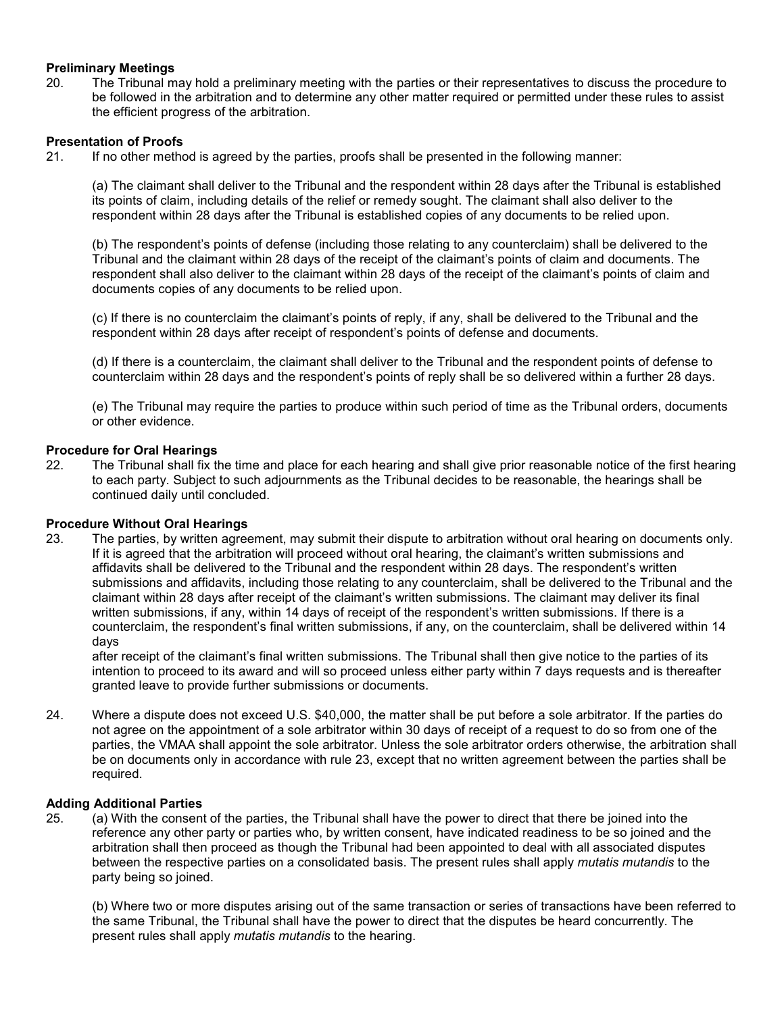# **Preliminary Meetings**

20. The Tribunal may hold a preliminary meeting with the parties or their representatives to discuss the procedure to be followed in the arbitration and to determine any other matter required or permitted under these rules to assist the efficient progress of the arbitration.

# **Presentation of Proofs**

21. If no other method is agreed by the parties, proofs shall be presented in the following manner:

(a) The claimant shall deliver to the Tribunal and the respondent within 28 days after the Tribunal is established its points of claim, including details of the relief or remedy sought. The claimant shall also deliver to the respondent within 28 days after the Tribunal is established copies of any documents to be relied upon.

(b) The respondent's points of defense (including those relating to any counterclaim) shall be delivered to the Tribunal and the claimant within 28 days of the receipt of the claimant's points of claim and documents. The respondent shall also deliver to the claimant within 28 days of the receipt of the claimant's points of claim and documents copies of any documents to be relied upon.

(c) If there is no counterclaim the claimant's points of reply, if any, shall be delivered to the Tribunal and the respondent within 28 days after receipt of respondent's points of defense and documents.

(d) If there is a counterclaim, the claimant shall deliver to the Tribunal and the respondent points of defense to counterclaim within 28 days and the respondent's points of reply shall be so delivered within a further 28 days.

(e) The Tribunal may require the parties to produce within such period of time as the Tribunal orders, documents or other evidence.

# **Procedure for Oral Hearings**

22. The Tribunal shall fix the time and place for each hearing and shall give prior reasonable notice of the first hearing to each party. Subject to such adjournments as the Tribunal decides to be reasonable, the hearings shall be continued daily until concluded.

# **Procedure Without Oral Hearings**

23. The parties, by written agreement, may submit their dispute to arbitration without oral hearing on documents only. If it is agreed that the arbitration will proceed without oral hearing, the claimant's written submissions and affidavits shall be delivered to the Tribunal and the respondent within 28 days. The respondent's written submissions and affidavits, including those relating to any counterclaim, shall be delivered to the Tribunal and the claimant within 28 days after receipt of the claimant's written submissions. The claimant may deliver its final written submissions, if any, within 14 days of receipt of the respondent's written submissions. If there is a counterclaim, the respondent's final written submissions, if any, on the counterclaim, shall be delivered within 14 days

after receipt of the claimant's final written submissions. The Tribunal shall then give notice to the parties of its intention to proceed to its award and will so proceed unless either party within 7 days requests and is thereafter granted leave to provide further submissions or documents.

24. Where a dispute does not exceed U.S. \$40,000, the matter shall be put before a sole arbitrator. If the parties do not agree on the appointment of a sole arbitrator within 30 days of receipt of a request to do so from one of the parties, the VMAA shall appoint the sole arbitrator. Unless the sole arbitrator orders otherwise, the arbitration shall be on documents only in accordance with rule 23, except that no written agreement between the parties shall be required.

# **Adding Additional Parties**

25. (a) With the consent of the parties, the Tribunal shall have the power to direct that there be joined into the reference any other party or parties who, by written consent, have indicated readiness to be so joined and the arbitration shall then proceed as though the Tribunal had been appointed to deal with all associated disputes between the respective parties on a consolidated basis. The present rules shall apply *mutatis mutandis* to the party being so joined.

(b) Where two or more disputes arising out of the same transaction or series of transactions have been referred to the same Tribunal, the Tribunal shall have the power to direct that the disputes be heard concurrently. The present rules shall apply *mutatis mutandis* to the hearing.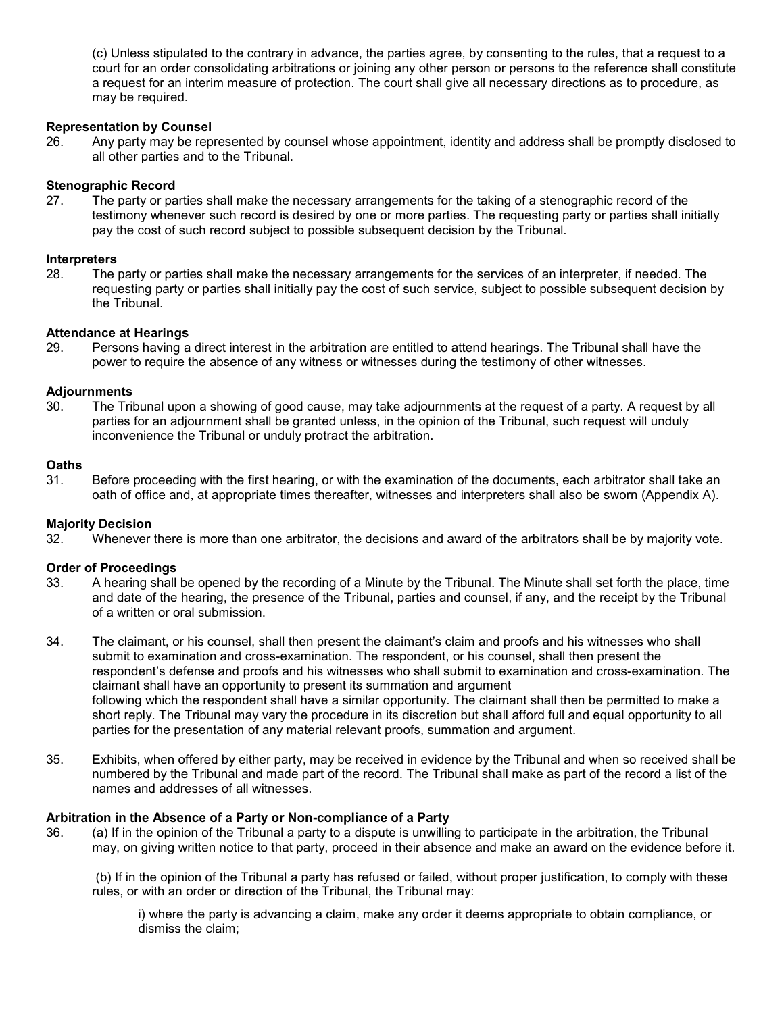(c) Unless stipulated to the contrary in advance, the parties agree, by consenting to the rules, that a request to a court for an order consolidating arbitrations or joining any other person or persons to the reference shall constitute a request for an interim measure of protection. The court shall give all necessary directions as to procedure, as may be required.

# **Representation by Counsel**

26. Any party may be represented by counsel whose appointment, identity and address shall be promptly disclosed to all other parties and to the Tribunal.

# **Stenographic Record**

27. The party or parties shall make the necessary arrangements for the taking of a stenographic record of the testimony whenever such record is desired by one or more parties. The requesting party or parties shall initially pay the cost of such record subject to possible subsequent decision by the Tribunal.

# **Interpreters**

28. The party or parties shall make the necessary arrangements for the services of an interpreter, if needed. The requesting party or parties shall initially pay the cost of such service, subject to possible subsequent decision by the Tribunal.

# **Attendance at Hearings**

29. Persons having a direct interest in the arbitration are entitled to attend hearings. The Tribunal shall have the power to require the absence of any witness or witnesses during the testimony of other witnesses.

# **Adjournments**

30. The Tribunal upon a showing of good cause, may take adjournments at the request of a party. A request by all parties for an adjournment shall be granted unless, in the opinion of the Tribunal, such request will unduly inconvenience the Tribunal or unduly protract the arbitration.

# **Oaths**

31. Before proceeding with the first hearing, or with the examination of the documents, each arbitrator shall take an oath of office and, at appropriate times thereafter, witnesses and interpreters shall also be sworn (Appendix A).

# **Majority Decision**

32. Whenever there is more than one arbitrator, the decisions and award of the arbitrators shall be by majority vote.

# **Order of Proceedings**

- 33. A hearing shall be opened by the recording of a Minute by the Tribunal. The Minute shall set forth the place, time and date of the hearing, the presence of the Tribunal, parties and counsel, if any, and the receipt by the Tribunal of a written or oral submission.
- 34. The claimant, or his counsel, shall then present the claimant's claim and proofs and his witnesses who shall submit to examination and cross-examination. The respondent, or his counsel, shall then present the respondent's defense and proofs and his witnesses who shall submit to examination and cross-examination. The claimant shall have an opportunity to present its summation and argument following which the respondent shall have a similar opportunity. The claimant shall then be permitted to make a short reply. The Tribunal may vary the procedure in its discretion but shall afford full and equal opportunity to all parties for the presentation of any material relevant proofs, summation and argument.
- 35. Exhibits, when offered by either party, may be received in evidence by the Tribunal and when so received shall be numbered by the Tribunal and made part of the record. The Tribunal shall make as part of the record a list of the names and addresses of all witnesses.

# **Arbitration in the Absence of a Party or Non-compliance of a Party**

36. (a) If in the opinion of the Tribunal a party to a dispute is unwilling to participate in the arbitration, the Tribunal may, on giving written notice to that party, proceed in their absence and make an award on the evidence before it.

(b) If in the opinion of the Tribunal a party has refused or failed, without proper justification, to comply with these rules, or with an order or direction of the Tribunal, the Tribunal may:

i) where the party is advancing a claim, make any order it deems appropriate to obtain compliance, or dismiss the claim;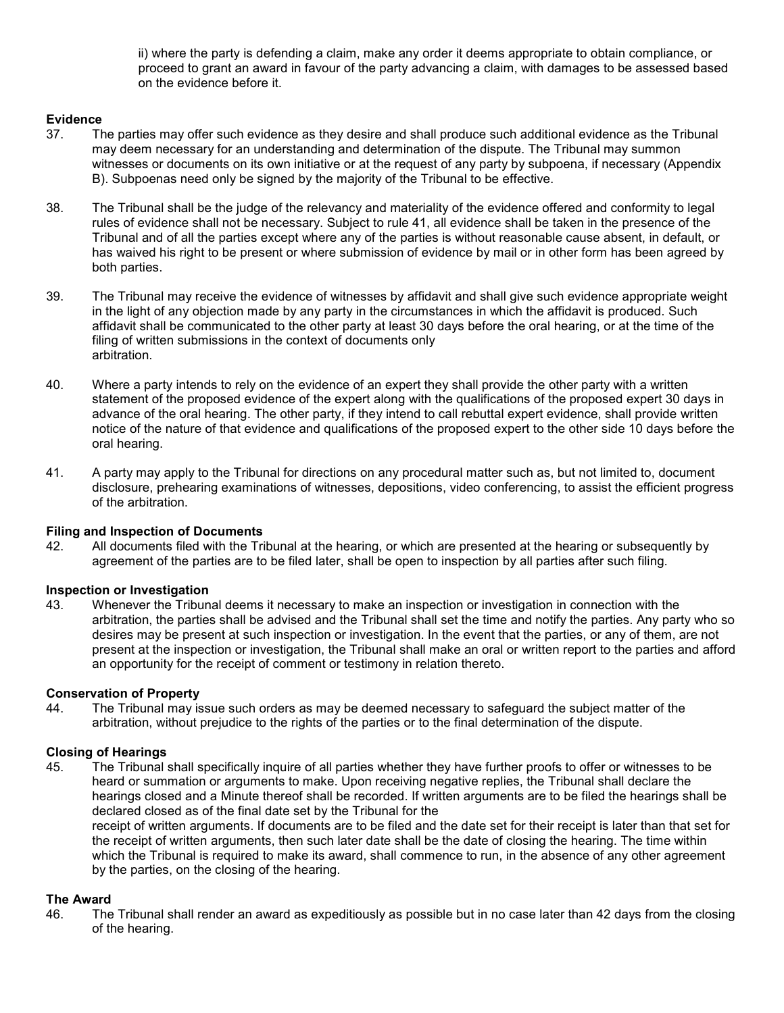ii) where the party is defending a claim, make any order it deems appropriate to obtain compliance, or proceed to grant an award in favour of the party advancing a claim, with damages to be assessed based on the evidence before it.

# **Evidence**

- 37. The parties may offer such evidence as they desire and shall produce such additional evidence as the Tribunal may deem necessary for an understanding and determination of the dispute. The Tribunal may summon witnesses or documents on its own initiative or at the request of any party by subpoena, if necessary (Appendix B). Subpoenas need only be signed by the majority of the Tribunal to be effective.
- 38. The Tribunal shall be the judge of the relevancy and materiality of the evidence offered and conformity to legal rules of evidence shall not be necessary. Subject to rule 41, all evidence shall be taken in the presence of the Tribunal and of all the parties except where any of the parties is without reasonable cause absent, in default, or has waived his right to be present or where submission of evidence by mail or in other form has been agreed by both parties.
- 39. The Tribunal may receive the evidence of witnesses by affidavit and shall give such evidence appropriate weight in the light of any objection made by any party in the circumstances in which the affidavit is produced. Such affidavit shall be communicated to the other party at least 30 days before the oral hearing, or at the time of the filing of written submissions in the context of documents only arbitration.
- 40. Where a party intends to rely on the evidence of an expert they shall provide the other party with a written statement of the proposed evidence of the expert along with the qualifications of the proposed expert 30 days in advance of the oral hearing. The other party, if they intend to call rebuttal expert evidence, shall provide written notice of the nature of that evidence and qualifications of the proposed expert to the other side 10 days before the oral hearing.
- 41. A party may apply to the Tribunal for directions on any procedural matter such as, but not limited to, document disclosure, prehearing examinations of witnesses, depositions, video conferencing, to assist the efficient progress of the arbitration.

# **Filing and Inspection of Documents**

42. All documents filed with the Tribunal at the hearing, or which are presented at the hearing or subsequently by agreement of the parties are to be filed later, shall be open to inspection by all parties after such filing.

# **Inspection or Investigation**

43. Whenever the Tribunal deems it necessary to make an inspection or investigation in connection with the arbitration, the parties shall be advised and the Tribunal shall set the time and notify the parties. Any party who so desires may be present at such inspection or investigation. In the event that the parties, or any of them, are not present at the inspection or investigation, the Tribunal shall make an oral or written report to the parties and afford an opportunity for the receipt of comment or testimony in relation thereto.

# **Conservation of Property**

44. The Tribunal may issue such orders as may be deemed necessary to safeguard the subject matter of the arbitration, without prejudice to the rights of the parties or to the final determination of the dispute.

# **Closing of Hearings**

45. The Tribunal shall specifically inquire of all parties whether they have further proofs to offer or witnesses to be heard or summation or arguments to make. Upon receiving negative replies, the Tribunal shall declare the hearings closed and a Minute thereof shall be recorded. If written arguments are to be filed the hearings shall be declared closed as of the final date set by the Tribunal for the

receipt of written arguments. If documents are to be filed and the date set for their receipt is later than that set for the receipt of written arguments, then such later date shall be the date of closing the hearing. The time within which the Tribunal is required to make its award, shall commence to run, in the absence of any other agreement by the parties, on the closing of the hearing.

# **The Award**

46. The Tribunal shall render an award as expeditiously as possible but in no case later than 42 days from the closing of the hearing.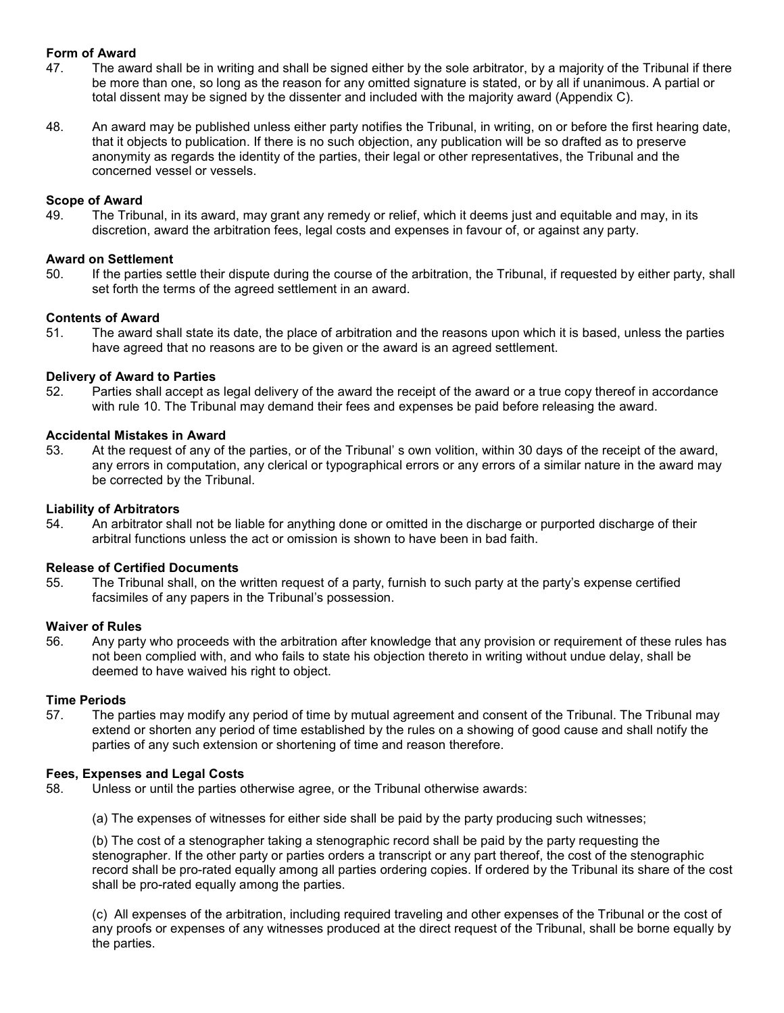# **Form of Award**

- 47. The award shall be in writing and shall be signed either by the sole arbitrator, by a majority of the Tribunal if there be more than one, so long as the reason for any omitted signature is stated, or by all if unanimous. A partial or total dissent may be signed by the dissenter and included with the majority award (Appendix C).
- 48. An award may be published unless either party notifies the Tribunal, in writing, on or before the first hearing date, that it objects to publication. If there is no such objection, any publication will be so drafted as to preserve anonymity as regards the identity of the parties, their legal or other representatives, the Tribunal and the concerned vessel or vessels.

# **Scope of Award**

49. The Tribunal, in its award, may grant any remedy or relief, which it deems just and equitable and may, in its discretion, award the arbitration fees, legal costs and expenses in favour of, or against any party.

# **Award on Settlement**

50. If the parties settle their dispute during the course of the arbitration, the Tribunal, if requested by either party, shall set forth the terms of the agreed settlement in an award.

# **Contents of Award**

51. The award shall state its date, the place of arbitration and the reasons upon which it is based, unless the parties have agreed that no reasons are to be given or the award is an agreed settlement.

# **Delivery of Award to Parties**

52. Parties shall accept as legal delivery of the award the receipt of the award or a true copy thereof in accordance with rule 10. The Tribunal may demand their fees and expenses be paid before releasing the award.

# **Accidental Mistakes in Award**

53. At the request of any of the parties, or of the Tribunal' s own volition, within 30 days of the receipt of the award, any errors in computation, any clerical or typographical errors or any errors of a similar nature in the award may be corrected by the Tribunal.

# **Liability of Arbitrators**

54. An arbitrator shall not be liable for anything done or omitted in the discharge or purported discharge of their arbitral functions unless the act or omission is shown to have been in bad faith.

# **Release of Certified Documents**

55. The Tribunal shall, on the written request of a party, furnish to such party at the party's expense certified facsimiles of any papers in the Tribunal's possession.

# **Waiver of Rules**

56. Any party who proceeds with the arbitration after knowledge that any provision or requirement of these rules has not been complied with, and who fails to state his objection thereto in writing without undue delay, shall be deemed to have waived his right to object.

# **Time Periods**

57. The parties may modify any period of time by mutual agreement and consent of the Tribunal. The Tribunal may extend or shorten any period of time established by the rules on a showing of good cause and shall notify the parties of any such extension or shortening of time and reason therefore.

# **Fees, Expenses and Legal Costs**

58. Unless or until the parties otherwise agree, or the Tribunal otherwise awards:

(a) The expenses of witnesses for either side shall be paid by the party producing such witnesses;

(b) The cost of a stenographer taking a stenographic record shall be paid by the party requesting the stenographer. If the other party or parties orders a transcript or any part thereof, the cost of the stenographic record shall be pro-rated equally among all parties ordering copies. If ordered by the Tribunal its share of the cost shall be pro-rated equally among the parties.

(c) All expenses of the arbitration, including required traveling and other expenses of the Tribunal or the cost of any proofs or expenses of any witnesses produced at the direct request of the Tribunal, shall be borne equally by the parties.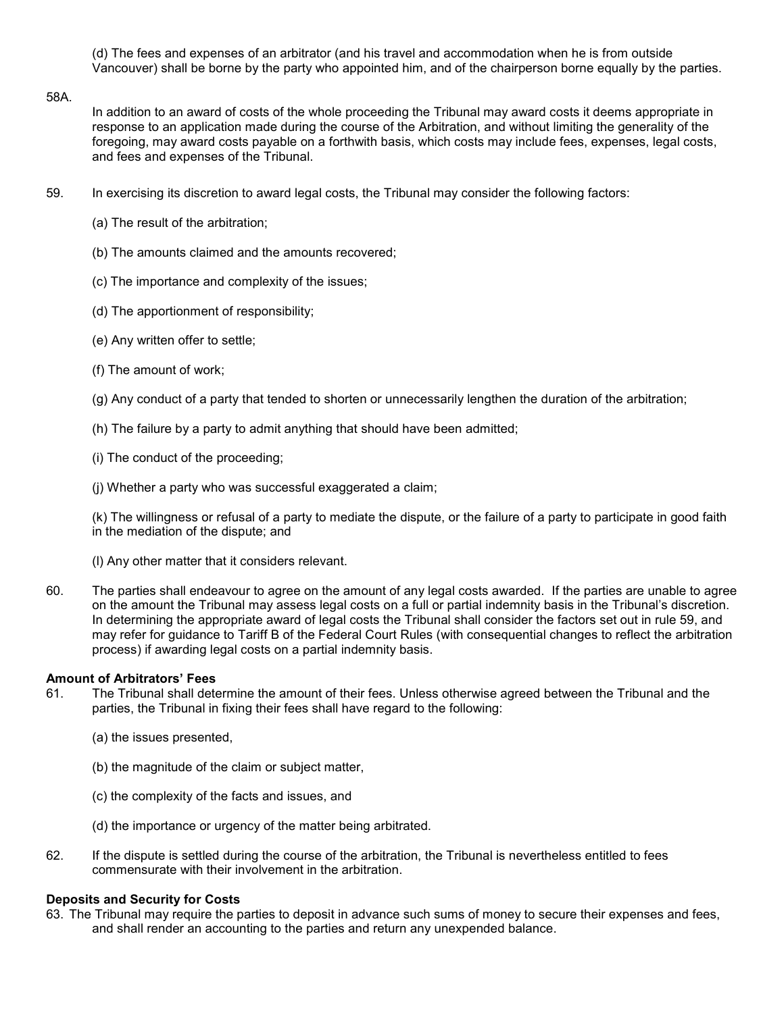(d) The fees and expenses of an arbitrator (and his travel and accommodation when he is from outside Vancouver) shall be borne by the party who appointed him, and of the chairperson borne equally by the parties.

#### 58A.

In addition to an award of costs of the whole proceeding the Tribunal may award costs it deems appropriate in response to an application made during the course of the Arbitration, and without limiting the generality of the foregoing, may award costs payable on a forthwith basis, which costs may include fees, expenses, legal costs, and fees and expenses of the Tribunal.

- 59. In exercising its discretion to award legal costs, the Tribunal may consider the following factors:
	- (a) The result of the arbitration;
	- (b) The amounts claimed and the amounts recovered;
	- (c) The importance and complexity of the issues;
	- (d) The apportionment of responsibility;
	- (e) Any written offer to settle;
	- (f) The amount of work;
	- (g) Any conduct of a party that tended to shorten or unnecessarily lengthen the duration of the arbitration;
	- (h) The failure by a party to admit anything that should have been admitted;
	- (i) The conduct of the proceeding;
	- (j) Whether a party who was successful exaggerated a claim;

(k) The willingness or refusal of a party to mediate the dispute, or the failure of a party to participate in good faith in the mediation of the dispute; and

- (l) Any other matter that it considers relevant.
- 60. The parties shall endeavour to agree on the amount of any legal costs awarded. If the parties are unable to agree on the amount the Tribunal may assess legal costs on a full or partial indemnity basis in the Tribunal's discretion. In determining the appropriate award of legal costs the Tribunal shall consider the factors set out in rule 59, and may refer for guidance to Tariff B of the Federal Court Rules (with consequential changes to reflect the arbitration process) if awarding legal costs on a partial indemnity basis.

# **Amount of Arbitrators' Fees**

- 61. The Tribunal shall determine the amount of their fees. Unless otherwise agreed between the Tribunal and the parties, the Tribunal in fixing their fees shall have regard to the following:
	- (a) the issues presented,
	- (b) the magnitude of the claim or subject matter,
	- (c) the complexity of the facts and issues, and
	- (d) the importance or urgency of the matter being arbitrated.
- 62. If the dispute is settled during the course of the arbitration, the Tribunal is nevertheless entitled to fees commensurate with their involvement in the arbitration.

# **Deposits and Security for Costs**

63. The Tribunal may require the parties to deposit in advance such sums of money to secure their expenses and fees, and shall render an accounting to the parties and return any unexpended balance.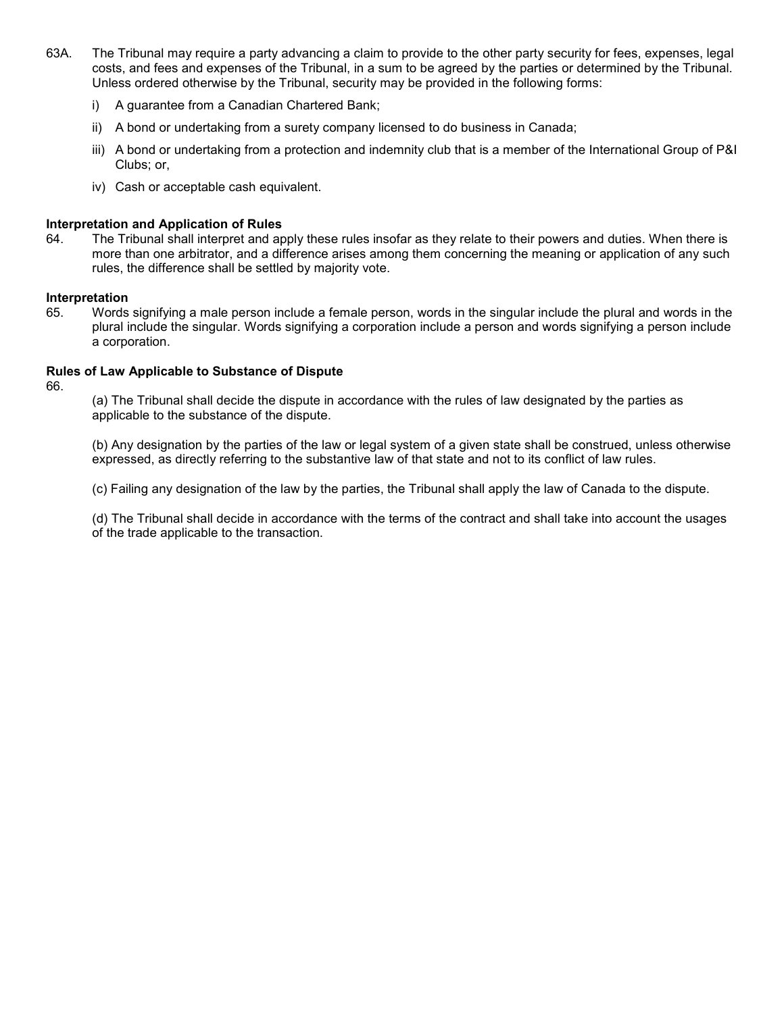- 63A. The Tribunal may require a party advancing a claim to provide to the other party security for fees, expenses, legal costs, and fees and expenses of the Tribunal, in a sum to be agreed by the parties or determined by the Tribunal. Unless ordered otherwise by the Tribunal, security may be provided in the following forms:
	- i) A guarantee from a Canadian Chartered Bank;
	- ii) A bond or undertaking from a surety company licensed to do business in Canada;
	- iii) A bond or undertaking from a protection and indemnity club that is a member of the International Group of P&I Clubs; or,
	- iv) Cash or acceptable cash equivalent.

# **Interpretation and Application of Rules**

64. The Tribunal shall interpret and apply these rules insofar as they relate to their powers and duties. When there is more than one arbitrator, and a difference arises among them concerning the meaning or application of any such rules, the difference shall be settled by majority vote.

# **Interpretation**

65. Words signifying a male person include a female person, words in the singular include the plural and words in the plural include the singular. Words signifying a corporation include a person and words signifying a person include a corporation.

# **Rules of Law Applicable to Substance of Dispute**

66.

(a) The Tribunal shall decide the dispute in accordance with the rules of law designated by the parties as applicable to the substance of the dispute.

(b) Any designation by the parties of the law or legal system of a given state shall be construed, unless otherwise expressed, as directly referring to the substantive law of that state and not to its conflict of law rules.

(c) Failing any designation of the law by the parties, the Tribunal shall apply the law of Canada to the dispute.

(d) The Tribunal shall decide in accordance with the terms of the contract and shall take into account the usages of the trade applicable to the transaction.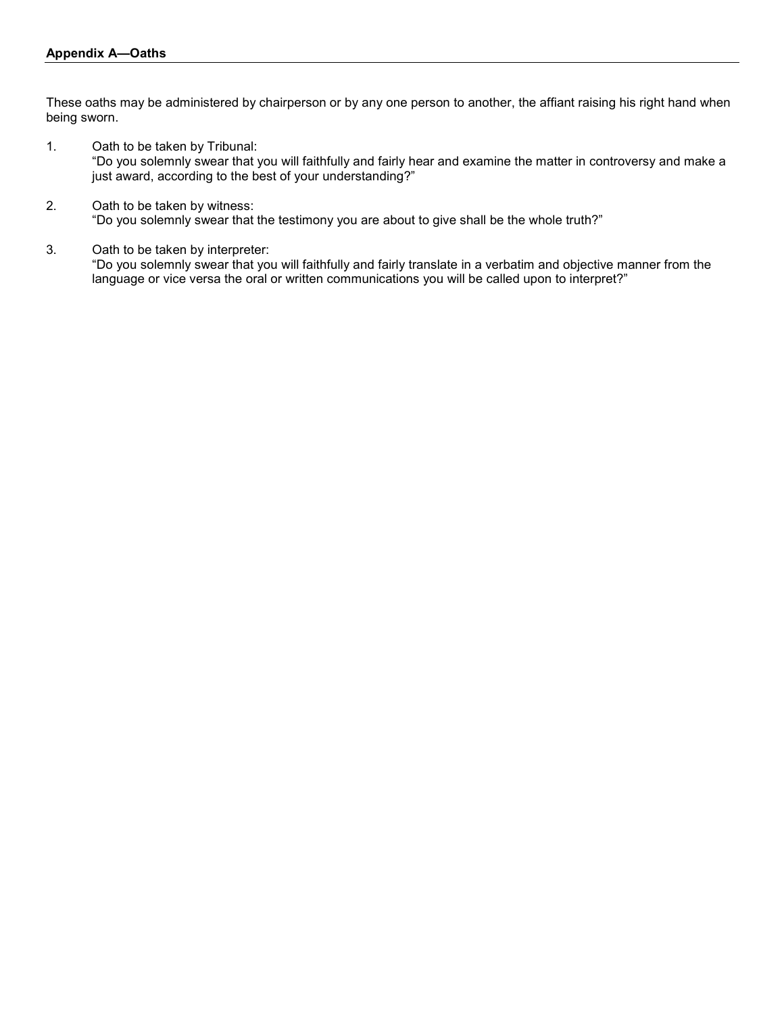These oaths may be administered by chairperson or by any one person to another, the affiant raising his right hand when being sworn.

- 1. Oath to be taken by Tribunal: "Do you solemnly swear that you will faithfully and fairly hear and examine the matter in controversy and make a just award, according to the best of your understanding?"
- 2. Oath to be taken by witness: "Do you solemnly swear that the testimony you are about to give shall be the whole truth?"
- 3. Oath to be taken by interpreter:

"Do you solemnly swear that you will faithfully and fairly translate in a verbatim and objective manner from the language or vice versa the oral or written communications you will be called upon to interpret?"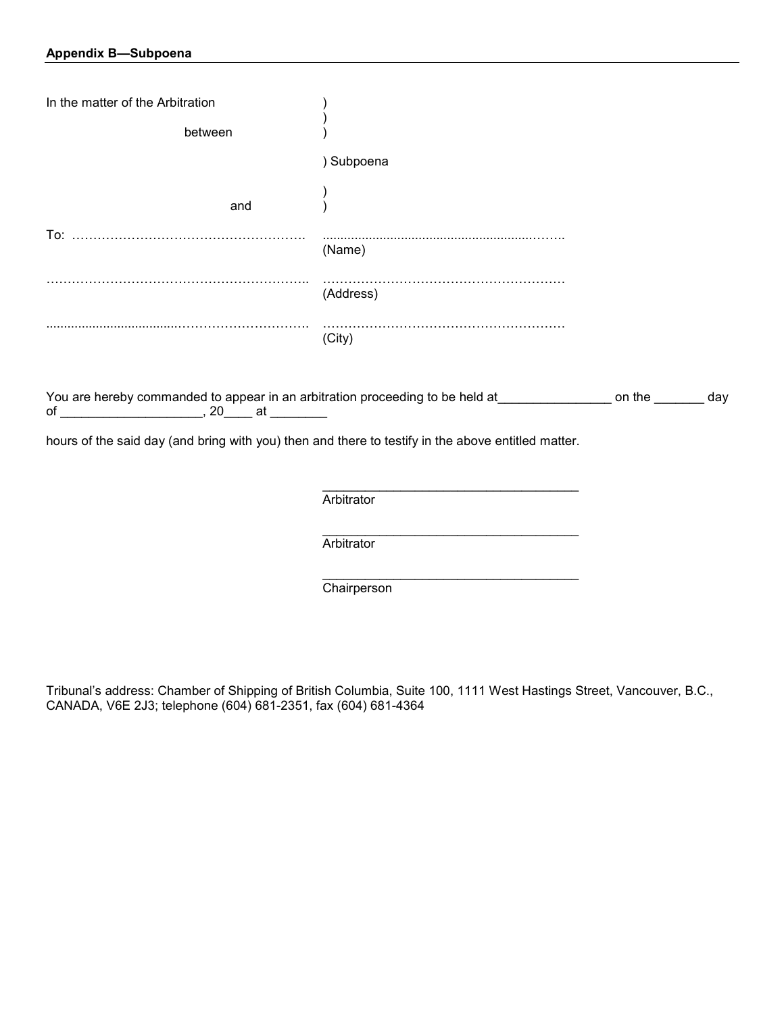# **Appendix B—Subpoena**

| In the matter of the Arbitration                                                                   |                                                                                                                  |  |
|----------------------------------------------------------------------------------------------------|------------------------------------------------------------------------------------------------------------------|--|
| between                                                                                            |                                                                                                                  |  |
|                                                                                                    | ) Subpoena                                                                                                       |  |
| and                                                                                                |                                                                                                                  |  |
|                                                                                                    | (Name)                                                                                                           |  |
|                                                                                                    | (Address)                                                                                                        |  |
|                                                                                                    | (City)                                                                                                           |  |
|                                                                                                    | You are hereby commanded to appear in an arbitration proceeding to be held at_______________ on the ________ day |  |
| hours of the said day (and bring with you) then and there to testify in the above entitled matter. |                                                                                                                  |  |
|                                                                                                    |                                                                                                                  |  |
|                                                                                                    | Arbitrator                                                                                                       |  |
|                                                                                                    |                                                                                                                  |  |

**Arbitrator** 

**Chairperson** 

Tribunal's address: Chamber of Shipping of British Columbia, Suite 100, 1111 West Hastings Street, Vancouver, B.C., CANADA, V6E 2J3; telephone (604) 681-2351, fax (604) 681-4364

\_\_\_\_\_\_\_\_\_\_\_\_\_\_\_\_\_\_\_\_\_\_\_\_\_\_\_\_\_\_\_\_\_\_\_\_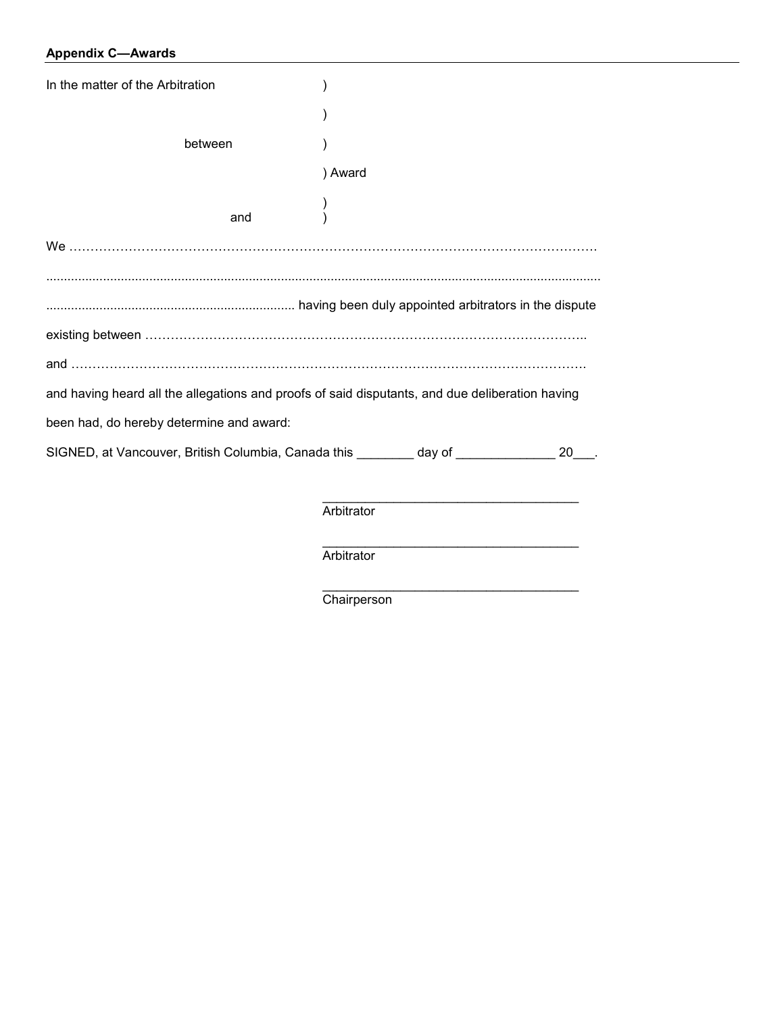# **Appendix C—Awards**

| In the matter of the Arbitration                                                                |            |  |    |  |  |
|-------------------------------------------------------------------------------------------------|------------|--|----|--|--|
|                                                                                                 |            |  |    |  |  |
| between                                                                                         |            |  |    |  |  |
|                                                                                                 | ) Award    |  |    |  |  |
| and                                                                                             |            |  |    |  |  |
|                                                                                                 |            |  |    |  |  |
|                                                                                                 |            |  |    |  |  |
|                                                                                                 |            |  |    |  |  |
|                                                                                                 |            |  |    |  |  |
|                                                                                                 |            |  |    |  |  |
| and having heard all the allegations and proofs of said disputants, and due deliberation having |            |  |    |  |  |
| been had, do hereby determine and award:                                                        |            |  |    |  |  |
| SIGNED, at Vancouver, British Columbia, Canada this ________ day of ___________                 |            |  | 20 |  |  |
|                                                                                                 |            |  |    |  |  |
|                                                                                                 | Arbitrator |  |    |  |  |

\_\_\_\_\_\_\_\_\_\_\_\_\_\_\_\_\_\_\_\_\_\_\_\_\_\_\_\_\_\_\_\_\_\_\_\_ **Arbitrator** 

**Chairperson** 

\_\_\_\_\_\_\_\_\_\_\_\_\_\_\_\_\_\_\_\_\_\_\_\_\_\_\_\_\_\_\_\_\_\_\_\_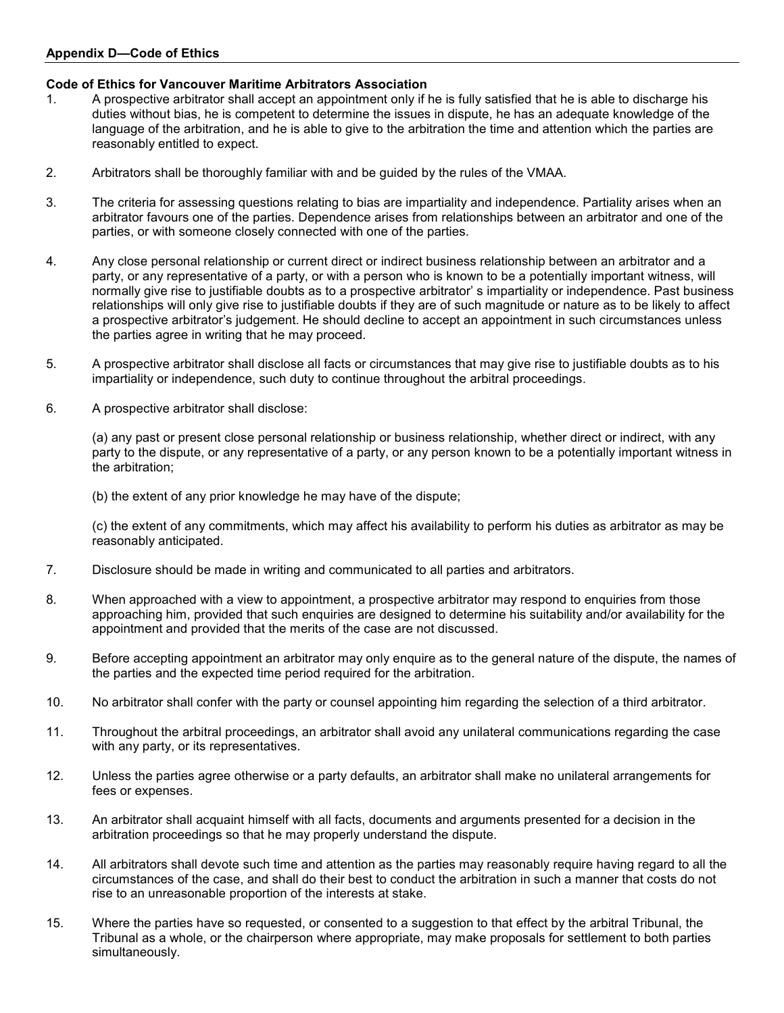# **Appendix D—Code of Ethics**

# **Code of Ethics for Vancouver Maritime Arbitrators Association**

- 1. A prospective arbitrator shall accept an appointment only if he is fully satisfied that he is able to discharge his duties without bias, he is competent to determine the issues in dispute, he has an adequate knowledge of the language of the arbitration, and he is able to give to the arbitration the time and attention which the parties are reasonably entitled to expect.
- 2. Arbitrators shall be thoroughly familiar with and be guided by the rules of the VMAA.
- 3. The criteria for assessing questions relating to bias are impartiality and independence. Partiality arises when an arbitrator favours one of the parties. Dependence arises from relationships between an arbitrator and one of the parties, or with someone closely connected with one of the parties.
- 4. Any close personal relationship or current direct or indirect business relationship between an arbitrator and a party, or any representative of a party, or with a person who is known to be a potentially important witness, will normally give rise to justifiable doubts as to a prospective arbitrator' s impartiality or independence. Past business relationships will only give rise to justifiable doubts if they are of such magnitude or nature as to be likely to affect a prospective arbitrator's judgement. He should decline to accept an appointment in such circumstances unless the parties agree in writing that he may proceed.
- 5. A prospective arbitrator shall disclose all facts or circumstances that may give rise to justifiable doubts as to his impartiality or independence, such duty to continue throughout the arbitral proceedings.
- 6. A prospective arbitrator shall disclose:

(a) any past or present close personal relationship or business relationship, whether direct or indirect, with any party to the dispute, or any representative of a party, or any person known to be a potentially important witness in the arbitration;

(b) the extent of any prior knowledge he may have of the dispute;

(c) the extent of any commitments, which may affect his availability to perform his duties as arbitrator as may be reasonably anticipated.

- 7. Disclosure should be made in writing and communicated to all parties and arbitrators.
- 8. When approached with a view to appointment, a prospective arbitrator may respond to enquiries from those approaching him, provided that such enquiries are designed to determine his suitability and/or availability for the appointment and provided that the merits of the case are not discussed.
- 9. Before accepting appointment an arbitrator may only enquire as to the general nature of the dispute, the names of the parties and the expected time period required for the arbitration.
- 10. No arbitrator shall confer with the party or counsel appointing him regarding the selection of a third arbitrator.
- 11. Throughout the arbitral proceedings, an arbitrator shall avoid any unilateral communications regarding the case with any party, or its representatives.
- 12. Unless the parties agree otherwise or a party defaults, an arbitrator shall make no unilateral arrangements for fees or expenses.
- 13. An arbitrator shall acquaint himself with all facts, documents and arguments presented for a decision in the arbitration proceedings so that he may properly understand the dispute.
- 14. All arbitrators shall devote such time and attention as the parties may reasonably require having regard to all the circumstances of the case, and shall do their best to conduct the arbitration in such a manner that costs do not rise to an unreasonable proportion of the interests at stake.
- 15. Where the parties have so requested, or consented to a suggestion to that effect by the arbitral Tribunal, the Tribunal as a whole, or the chairperson where appropriate, may make proposals for settlement to both parties simultaneously.